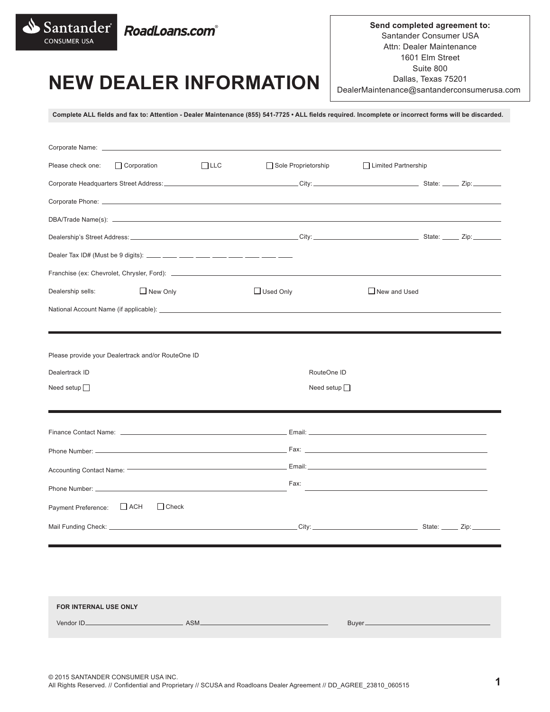

**Send completed agreement to:** Santander Consumer USA Attn: Dealer Maintenance 1601 Elm Street Suite 800 Dallas, Texas 75201 DealerMaintenance@santanderconsumerusa.com

# **NEW DEALER INFORMATION**

**Complete ALL fields and fax to: Attention - Dealer Maintenance (855) 541-7725 • ALL fields required. Incomplete or incorrect forms will be discarded.**

| Sole Proprietorship |                                                                                                                                                                                                                                                    |                                                                                                                                                           |
|---------------------|----------------------------------------------------------------------------------------------------------------------------------------------------------------------------------------------------------------------------------------------------|-----------------------------------------------------------------------------------------------------------------------------------------------------------|
|                     |                                                                                                                                                                                                                                                    |                                                                                                                                                           |
|                     |                                                                                                                                                                                                                                                    |                                                                                                                                                           |
|                     |                                                                                                                                                                                                                                                    |                                                                                                                                                           |
|                     |                                                                                                                                                                                                                                                    |                                                                                                                                                           |
|                     |                                                                                                                                                                                                                                                    |                                                                                                                                                           |
|                     |                                                                                                                                                                                                                                                    |                                                                                                                                                           |
|                     | $\Box$ New and Used                                                                                                                                                                                                                                |                                                                                                                                                           |
|                     |                                                                                                                                                                                                                                                    |                                                                                                                                                           |
|                     |                                                                                                                                                                                                                                                    |                                                                                                                                                           |
|                     |                                                                                                                                                                                                                                                    |                                                                                                                                                           |
| RouteOne ID         |                                                                                                                                                                                                                                                    |                                                                                                                                                           |
| Need setup $\Box$   |                                                                                                                                                                                                                                                    |                                                                                                                                                           |
|                     |                                                                                                                                                                                                                                                    |                                                                                                                                                           |
|                     |                                                                                                                                                                                                                                                    |                                                                                                                                                           |
|                     |                                                                                                                                                                                                                                                    |                                                                                                                                                           |
|                     |                                                                                                                                                                                                                                                    |                                                                                                                                                           |
| Fax:                |                                                                                                                                                                                                                                                    |                                                                                                                                                           |
|                     |                                                                                                                                                                                                                                                    |                                                                                                                                                           |
|                     |                                                                                                                                                                                                                                                    |                                                                                                                                                           |
|                     |                                                                                                                                                                                                                                                    |                                                                                                                                                           |
|                     | Corporate Phone: Law and Communication of the Communication of the Communication of the Communication of the Communication of the Communication of the Communication of the Communication of the Communication of the Communic<br>$\Box$ Used Only | Limited Partnership<br>National Account Name (if applicable): <b>Account 2018 Figure 2018</b> 2019 12:30 Account 2019 12:30 Account Name (if applicable): |

| <b>FOR INTERNAL USE ONLY</b> |      |        |
|------------------------------|------|--------|
| Vendor ID.                   | ASM. | Buyer. |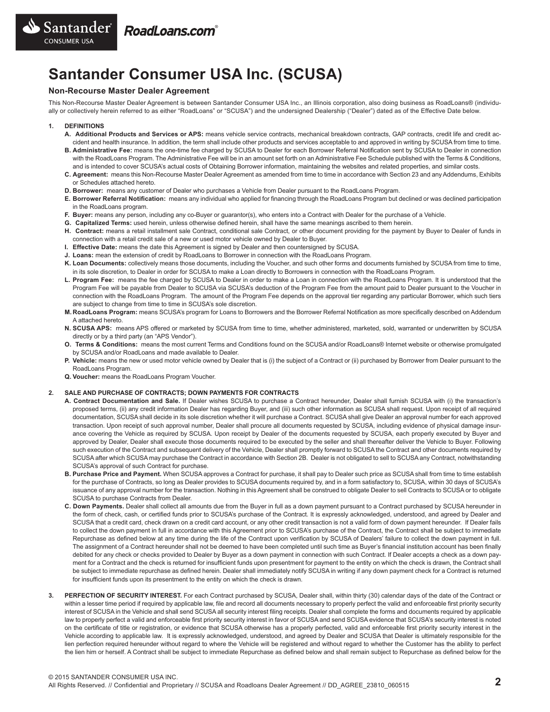

# **Santander Consumer USA Inc. (SCUSA)**

### **Non-Recourse Master Dealer Agreement**

This Non-Recourse Master Dealer Agreement is between Santander Consumer USA Inc., an Illinois corporation, also doing business as RoadLoans® (individually or collectively herein referred to as either "RoadLoans" or "SCUSA") and the undersigned Dealership ("Dealer") dated as of the Effective Date below.

#### **1. DEFINITIONS**

- **A. Additional Products and Services or APS:** means vehicle service contracts, mechanical breakdown contracts, GAP contracts, credit life and credit accident and health insurance. In addition, the term shall include other products and services acceptable to and approved in writing by SCUSA from time to time.
- **B. Administrative Fee:** means the one-time fee charged by SCUSA to Dealer for each Borrower Referral Notification sent by SCUSA to Dealer in connection with the RoadLoans Program. The Administrative Fee will be in an amount set forth on an Administrative Fee Schedule published with the Terms & Conditions, and is intended to cover SCUSA's actual costs of Obtaining Borrower information, maintaining the websites and related properties, and similar costs.
- **C. Agreement:** means this Non-Recourse Master Dealer Agreement as amended from time to time in accordance with Section 23 and any Addendums, Exhibits or Schedules attached hereto.
- **D. Borrower:** means any customer of Dealer who purchases a Vehicle from Dealer pursuant to the RoadLoans Program.
- **E. Borrower Referral Notification:** means any individual who applied for financing through the RoadLoans Program but declined or was declined participation in the RoadLoans program.
- **F. Buyer:** means any person, including any co-Buyer or guarantor(s), who enters into a Contract with Dealer for the purchase of a Vehicle.
- **G. Capitalized Terms:** used herein, unless otherwise defined herein, shall have the same meanings ascribed to them herein.
- **H. Contract:** means a retail installment sale Contract, conditional sale Contract, or other document providing for the payment by Buyer to Dealer of funds in connection with a retail credit sale of a new or used motor vehicle owned by Dealer to Buyer.
- **I. Effective Date:** means the date this Agreement is signed by Dealer and then countersigned by SCUSA.
- **J. Loans:** mean the extension of credit by RoadLoans to Borrower in connection with the RoadLoans Program.
- **K. Loan Documents:** collectively means those documents, including the Voucher, and such other forms and documents furnished by SCUSA from time to time, in its sole discretion, to Dealer in order for SCUSA to make a Loan directly to Borrowers in connection with the RoadLoans Program.
- **L. Program Fee:** means the fee charged by SCUSA to Dealer in order to make a Loan in connection with the RoadLoans Program. It is understood that the Program Fee will be payable from Dealer to SCUSA via SCUSA's deduction of the Program Fee from the amount paid to Dealer pursuant to the Voucher in connection with the RoadLoans Program. The amount of the Program Fee depends on the approval tier regarding any particular Borrower, which such tiers are subject to change from time to time in SCUSA's sole discretion.
- **M. RoadLoans Program:** means SCUSA's program for Loans to Borrowers and the Borrower Referral Notification as more specifically described on Addendum A attached hereto.
- **N. SCUSA APS:** means APS offered or marketed by SCUSA from time to time, whether administered, marketed, sold, warranted or underwritten by SCUSA directly or by a third party (an "APS Vendor").
- **O. Terms & Conditions:** means the most current Terms and Conditions found on the SCUSA and/or RoadLoans® Internet website or otherwise promulgated by SCUSA and/or RoadLoans and made available to Dealer.
- **P. Vehicle:** means the new or used motor vehicle owned by Dealer that is (i) the subject of a Contract or (ii) purchased by Borrower from Dealer pursuant to the RoadLoans Program.
- **Q. Voucher:** means the RoadLoans Program Voucher.

#### **2. SALE AND PURCHASE OF CONTRACTS; DOWN PAYMENTS FOR CONTRACTS**

- **A. Contract Documentation and Sale.** If Dealer wishes SCUSA to purchase a Contract hereunder, Dealer shall furnish SCUSA with (i) the transaction's proposed terms, (ii) any credit information Dealer has regarding Buyer, and (iii) such other information as SCUSA shall request. Upon receipt of all required documentation, SCUSA shall decide in its sole discretion whether it will purchase a Contract. SCUSA shall give Dealer an approval number for each approved transaction. Upon receipt of such approval number, Dealer shall procure all documents requested by SCUSA, including evidence of physical damage insurance covering the Vehicle as required by SCUSA. Upon receipt by Dealer of the documents requested by SCUSA, each properly executed by Buyer and approved by Dealer, Dealer shall execute those documents required to be executed by the seller and shall thereafter deliver the Vehicle to Buyer. Following such execution of the Contract and subsequent delivery of the Vehicle, Dealer shall promptly forward to SCUSA the Contract and other documents required by SCUSA after which SCUSA may purchase the Contract in accordance with Section 2B. Dealer is not obligated to sell to SCUSA any Contract, notwithstanding SCUSA's approval of such Contract for purchase.
- **B. Purchase Price and Payment.** When SCUSA approves a Contract for purchase, it shall pay to Dealer such price as SCUSA shall from time to time establish for the purchase of Contracts, so long as Dealer provides to SCUSA documents required by, and in a form satisfactory to, SCUSA, within 30 days of SCUSA's issuance of any approval number for the transaction. Nothing in this Agreement shall be construed to obligate Dealer to sell Contracts to SCUSA or to obligate SCUSA to purchase Contracts from Dealer.
- **C. Down Payments.** Dealer shall collect all amounts due from the Buyer in full as a down payment pursuant to a Contract purchased by SCUSA hereunder in the form of check, cash, or certified funds prior to SCUSA's purchase of the Contract. It is expressly acknowledged, understood, and agreed by Dealer and SCUSA that a credit card, check drawn on a credit card account, or any other credit transaction is not a valid form of down payment hereunder. If Dealer fails to collect the down payment in full in accordance with this Agreement prior to SCUSA's purchase of the Contract, the Contract shall be subject to immediate Repurchase as defined below at any time during the life of the Contract upon verification by SCUSA of Dealers' failure to collect the down payment in full. The assignment of a Contract hereunder shall not be deemed to have been completed until such time as Buyer's financial institution account has been finally debited for any check or checks provided to Dealer by Buyer as a down payment in connection with such Contract. If Dealer accepts a check as a down payment for a Contract and the check is returned for insufficient funds upon presentment for payment to the entity on which the check is drawn, the Contract shall be subject to immediate repurchase as defined herein. Dealer shall immediately notify SCUSA in writing if any down payment check for a Contract is returned for insufficient funds upon its presentment to the entity on which the check is drawn.
- **3. PERFECTION OF SECURITY INTEREST.** For each Contract purchased by SCUSA, Dealer shall, within thirty (30) calendar days of the date of the Contract or within a lesser time period if required by applicable law, file and record all documents necessary to properly perfect the valid and enforceable first priority security interest of SCUSA in the Vehicle and shall send SCUSA all security interest filing receipts. Dealer shall complete the forms and documents required by applicable law to properly perfect a valid and enforceable first priority security interest in favor of SCUSA and send SCUSA evidence that SCUSA's security interest is noted on the certificate of title or registration, or evidence that SCUSA otherwise has a properly perfected, valid and enforceable first priority security interest in the Vehicle according to applicable law. It is expressly acknowledged, understood, and agreed by Dealer and SCUSA that Dealer is ultimately responsible for the lien perfection required hereunder without regard to where the Vehicle will be registered and without regard to whether the Customer has the ability to perfect the lien him or herself. A Contract shall be subject to immediate Repurchase as defined below and shall remain subject to Repurchase as defined below for the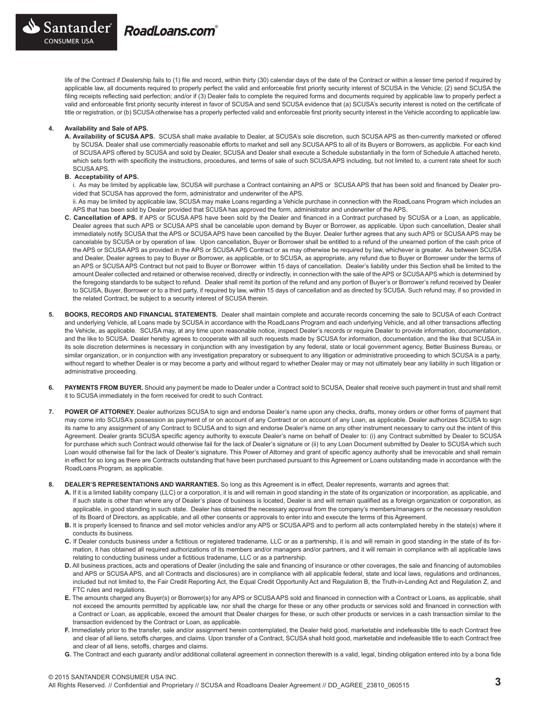

life of the Contract if Dealership fails to (1) file and record, within thirty (30) calendar days of the date of the Contract or within a lesser time period if required by applicable law, all documents required to properly perfect the valid and enforceable first priority security interest of SCUSA in the Vehicle; (2) send SCUSA the filing receipts reflecting said perfection; and/or if (3) Dealer fails to complete the required forms and documents required by applicable law to properly perfect a valid and enforceable first priority security interest in favor of SCUSA and send SCUSA evidence that (a) SCUSA's security interest is noted on the certificate of title or registration, or (b) SCUSA otherwise has a properly perfected valid and enforceable first priority security interest in the Vehicle according to applicable law.

### **4. Availability and Sale of APS.**

**A. Availability of SCUSA APS.** SCUSA shall make available to Dealer, at SCUSA's sole discretion, such SCUSA APS as then-currently marketed or offered by SCUSA. Dealer shall use commercially reasonable efforts to market and sell any SCUSA APS to all of its Buyers or Borrowers, as applicble. For each kind of SCUSA APS offered by SCUSA and sold by Dealer, SCUSA and Dealer shall execute a Schedule substantially in the form of Schedule A attached hereto, which sets forth with specificity the instructions, procedures, and terms of sale of such SCUSA APS including, but not limited to, a current rate sheet for such SCUSA APS.

#### **B. Acceptability of APS.**

i. As may be limited by applicable law, SCUSA will purchase a Contract containing an APS or SCUSA APS that has been sold and financed by Dealer provided that SCUSA has approved the form, administrator and underwriter of the APS.

 ii. As may be limited by applicable law, SCUSA may make Loans regarding a Vehicle purchase in connection with the RoadLoans Program which includes an APS that has been sold by Dealer provided that SCUSA has approved the form, administrator and underwriter of the APS.

- **C. Cancellation of APS.** If APS or SCUSA APS have been sold by the Dealer and financed in a Contract purchased by SCUSA or a Loan, as applicable, Dealer agrees that such APS or SCUSA APS shall be cancelable upon demand by Buyer or Borrower, as applicable. Upon such cancellation, Dealer shall immediately notify SCUSA that the APS or SCUSA APS have been cancelled by the Buyer. Dealer further agrees that any such APS or SCUSA APS may be cancelable by SCUSA or by operation of law. Upon cancellation, Buyer or Borrower shall be entitled to a refund of the unearned portion of the cash price of the APS or SCUSA APS as provided in the APS or SCUSA APS Contract or as may otherwise be required by law, whichever is greater. As between SCUSA and Dealer, Dealer agrees to pay to Buyer or Borrower, as applicable, or to SCUSA, as appropriate, any refund due to Buyer or Borrower under the terms of an APS or SCUSA APS Contract but not paid to Buyer or Borrower within 15 days of cancellation. Dealer's liability under this Section shall be limited to the amount Dealer collected and retained or otherwise received, directly or indirectly, in connection with the sale of the APS or SCUSA APS which is determined by the foregoing standards to be subject to refund. Dealer shall remit its portion of the refund and any portion of Buyer's or Borrower's refund received by Dealer to SCUSA, Buyer, Borrower or to a third party, if required by law, within 15 days of cancellation and as directed by SCUSA. Such refund may, if so provided in the related Contract, be subject to a security interest of SCUSA therein.
- **5. BOOKS, RECORDS AND FINANCIAL STATEMENTS.** Dealer shall maintain complete and accurate records concerning the sale to SCUSA of each Contract and underlying Vehicle, all Loans made by SCUSA in accordance with the RoadLoans Program and each underlying Vehicle, and all other transactions affecting the Vehicle, as applicable. SCUSA may, at any time upon reasonable notice, inspect Dealer's records or require Dealer to provide information, documentation, and the like to SCUSA. Dealer hereby agrees to cooperate with all such requests made by SCUSA for information, documentation, and the like that SCUSA in its sole discretion determines is necessary in conjunction with any investigation by any federal, state or local government agency, Better Business Bureau, or similar organization, or in conjunction with any investigation preparatory or subsequent to any litigation or administrative proceeding to which SCUSA is a party, without regard to whether Dealer is or may become a party and without regard to whether Dealer may or may not ultimately bear any liability in such litigation or administrative proceeding.
- **6. PAYMENTS FROM BUYER.** Should any payment be made to Dealer under a Contract sold to SCUSA, Dealer shall receive such payment in trust and shall remit it to SCUSA immediately in the form received for credit to such Contract.
- **7. POWER OF ATTORNEY.** Dealer authorizes SCUSA to sign and endorse Dealer's name upon any checks, drafts, money orders or other forms of payment that may come into SCUSA's possession as payment of or on account of any Contract or on account of any Loan, as applicable. Dealer authorizes SCUSA to sign its name to any assignment of any Contract to SCUSA and to sign and endorse Dealer's name on any other instrument necessary to carry out the intent of this Agreement. Dealer grants SCUSA specific agency authority to execute Dealer's name on behalf of Dealer to: (i) any Contract submitted by Dealer to SCUSA for purchase which such Contract would otherwise fail for the lack of Dealer's signature or (ii) to any Loan Document submitted by Dealer to SCUSA which such Loan would otherwise fail for the lack of Dealer's signature. This Power of Attorney and grant of specific agency authority shall be irrevocable and shall remain in effect for so long as there are Contracts outstanding that have been purchased pursuant to this Agreement or Loans outstanding made in accordance with the RoadLoans Program, as applicable.
- **8. DEALER'S REPRESENTATIONS AND WARRANTIES.** So long as this Agreement is in effect, Dealer represents, warrants and agrees that:
	- **A.** If it is a limited liability company (LLC) or a corporation, it is and will remain in good standing in the state of its organization or incorporation, as applicable, and if such state is other than where any of Dealer's place of business is located, Dealer is and will remain qualified as a foreign organization or corporation, as applicable, in good standing in such state. Dealer has obtained the necessary approval from the company's members/managers or the necessary resolution of its Board of Directors, as applicable, and all other consents or approvals to enter into and execute the terms of this Agreement.
	- **B.** It is properly licensed to finance and sell motor vehicles and/or any APS or SCUSA APS and to perform all acts contemplated hereby in the state(s) where it conducts its business.
	- **C.** If Dealer conducts business under a fictitious or registered tradename, LLC or as a partnership, it is and will remain in good standing in the state of its formation, it has obtained all required authorizations of its members and/or managers and/or partners, and it will remain in compliance with all applicable laws relating to conducting business under a fictitious tradename, LLC or as a partnership.
	- **D.** All business practices, acts and operations of Dealer (including the sale and financing of insurance or other coverages, the sale and financing of automobiles and APS or SCUSA APS, and all Contracts and disclosures) are in compliance with all applicable federal, state and local laws, regulations and ordinances, included but not limited to, the Fair Credit Reporting Act, the Equal Credit Opportunity Act and Regulation B, the Truth-in-Lending Act and Regulation Z, and FTC rules and regulations.
	- E. The amounts charged any Buyer(s) or Borrower(s) for any APS or SCUSA APS sold and financed in connection with a Contract or Loans, as applicable, shall not exceed the amounts permitted by applicable law, nor shall the charge for these or any other products or services sold and financed in connection with a Contract or Loan, as applicable, exceed the amount that Dealer charges for these, or such other products or services in a cash transaction similar to the transaction evidenced by the Contract or Loan, as applicable.
	- **F.** Immediately prior to the transfer, sale and/or assignment herein contemplated, the Dealer held good, marketable and indefeasible title to each Contract free and clear of all liens, setoffs charges, and claims. Upon transfer of a Contract, SCUSA shall hold good, marketable and indefeasible title to each Contract free and clear of all liens, setoffs, charges and claims.
	- **G.** The Contract and each guaranty and/or additional collateral agreement in connection therewith is a valid, legal, binding obligation entered into by a bona fide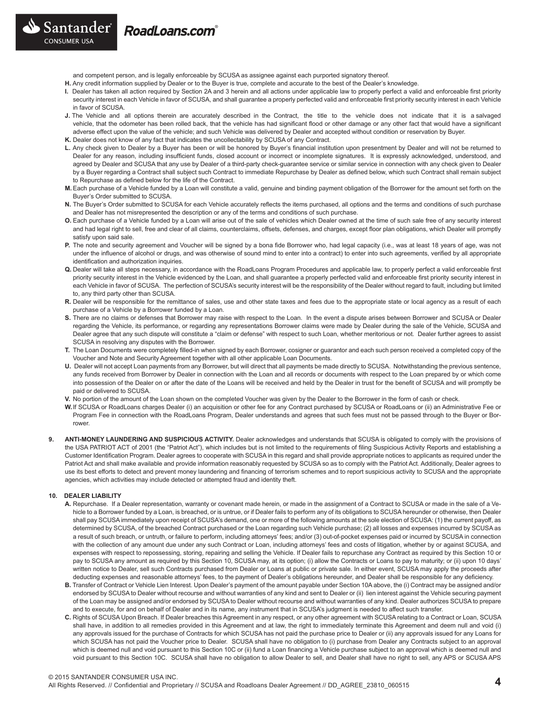RoadLoans.com<sup>®</sup>

Santander

CONSUMER USA

and competent person, and is legally enforceable by SCUSA as assignee against each purported signatory thereof.

- **H.** Any credit information supplied by Dealer or to the Buyer is true, complete and accurate to the best of the Dealer's knowledge.
- **I.** Dealer has taken all action required by Section 2A and 3 herein and all actions under applicable law to properly perfect a valid and enforceable first priority security interest in each Vehicle in favor of SCUSA, and shall guarantee a properly perfected valid and enforceable first priority security interest in each Vehicle in favor of SCUSA.
- **J.** The Vehicle and all options therein are accurately described in the Contract, the title to the vehicle does not indicate that it is a salvaged vehicle, that the odometer has been rolled back, that the vehicle has had significant flood or other damage or any other fact that would have a significant adverse effect upon the value of the vehicle; and such Vehicle was delivered by Dealer and accepted without condition or reservation by Buyer.
- **K.** Dealer does not know of any fact that indicates the uncollectability by SCUSA of any Contract.
- **L.** Any check given to Dealer by a Buyer has been or will be honored by Buyer's financial institution upon presentment by Dealer and will not be returned to Dealer for any reason, including insufficient funds, closed account or incorrect or incomplete signatures. It is expressly acknowledged, understood, and agreed by Dealer and SCUSA that any use by Dealer of a third-party check-guarantee service or similar service in connection with any check given to Dealer by a Buyer regarding a Contract shall subject such Contract to immediate Repurchase by Dealer as defined below, which such Contract shall remain subject to Repurchase as defined below for the life of the Contract.
- **M.**Each purchase of a Vehicle funded by a Loan will constitute a valid, genuine and binding payment obligation of the Borrower for the amount set forth on the Buyer's Order submitted to SCUSA.
- **N.** The Buyer's Order submitted to SCUSA for each Vehicle accurately reflects the items purchased, all options and the terms and conditions of such purchase and Dealer has not misrepresented the description or any of the terms and conditions of such purchase.
- **O.** Each purchase of a Vehicle funded by a Loan will arise out of the sale of vehicles which Dealer owned at the time of such sale free of any security interest and had legal right to sell, free and clear of all claims, counterclaims, offsets, defenses, and charges, except floor plan obligations, which Dealer will promptly satisfy upon said sale.
- **P.** The note and security agreement and Voucher will be signed by a bona fide Borrower who, had legal capacity (i.e., was at least 18 years of age, was not under the influence of alcohol or drugs, and was otherwise of sound mind to enter into a contract) to enter into such agreements, verified by all appropriate identification and authorization inquiries.
- **Q.** Dealer will take all steps necessary, in accordance with the RoadLoans Program Procedures and applicable law, to properly perfect a valid enforceable first priority security interest in the Vehicle evidenced by the Loan, and shall guarantee a properly perfected valid and enforceable first priority security interest in each Vehicle in favor of SCUSA. The perfection of SCUSA's security interest will be the responsibility of the Dealer without regard to fault, including but limited to, any third party other than SCUSA.
- R. Dealer will be responsible for the remittance of sales, use and other state taxes and fees due to the appropriate state or local agency as a result of each purchase of a Vehicle by a Borrower funded by a Loan.
- **S.** There are no claims or defenses that Borrower may raise with respect to the Loan. In the event a dispute arises between Borrower and SCUSA or Dealer regarding the Vehicle, its performance, or regarding any representations Borrower claims were made by Dealer during the sale of the Vehicle, SCUSA and Dealer agree that any such dispute will constitute a "claim or defense" with respect to such Loan, whether meritorious or not. Dealer further agrees to assist SCUSA in resolving any disputes with the Borrower.
- **T.** The Loan Documents were completely filled-in when signed by each Borrower, cosigner or guarantor and each such person received a completed copy of the Voucher and Note and Security Agreement together with all other applicable Loan Documents.
- **U.** Dealer will not accept Loan payments from any Borrower, but will direct that all payments be made directly to SCUSA. Notwithstanding the previous sentence, any funds received from Borrower by Dealer in connection with the Loan and all records or documents with respect to the Loan prepared by or which come into possession of the Dealer on or after the date of the Loans will be received and held by the Dealer in trust for the benefit of SCUSA and will promptly be paid or delivered to SCUSA.
- **V.** No portion of the amount of the Loan shown on the completed Voucher was given by the Dealer to the Borrower in the form of cash or check.
- **W.**If SCUSA or RoadLoans charges Dealer (i) an acquisition or other fee for any Contract purchased by SCUSA or RoadLoans or (ii) an Administrative Fee or Program Fee in connection with the RoadLoans Program, Dealer understands and agrees that such fees must not be passed through to the Buyer or Borrower.
- **9. ANTI-MONEY LAUNDERING AND SUSPICIOUS ACTIVITY.** Dealer acknowledges and understands that SCUSA is obligated to comply with the provisions of the USA PATRIOT ACT of 2001 (the "Patriot Act"), which includes but is not limited to the requirements of filing Suspicious Activity Reports and establishing a Customer Identification Program. Dealer agrees to cooperate with SCUSA in this regard and shall provide appropriate notices to applicants as required under the Patriot Act and shall make available and provide information reasonably requested by SCUSA so as to comply with the Patriot Act. Additionally, Dealer agrees to use its best efforts to detect and prevent money laundering and financing of terrorism schemes and to report suspicious activity to SCUSA and the appropriate agencies, which activities may include detected or attempted fraud and identity theft.

#### **10. DEALER LIABILITY**

- **A.** Repurchase. If a Dealer representation, warranty or covenant made herein, or made in the assignment of a Contract to SCUSA or made in the sale of a Vehicle to a Borrower funded by a Loan, is breached, or is untrue, or if Dealer fails to perform any of its obligations to SCUSA hereunder or otherwise, then Dealer shall pay SCUSA immediately upon receipt of SCUSA's demand, one or more of the following amounts at the sole election of SCUSA: (1) the current payoff, as determined by SCUSA, of the breached Contract purchased or the Loan regarding such Vehicle purchase; (2) all losses and expenses incurred by SCUSA as a result of such breach, or untruth, or failure to perform, including attorneys' fees; and/or (3) out-of-pocket expenses paid or incurred by SCUSA in connection with the collection of any amount due under any such Contract or Loan, including attorneys' fees and costs of litigation, whether by or against SCUSA, and expenses with respect to repossessing, storing, repairing and selling the Vehicle. If Dealer fails to repurchase any Contract as required by this Section 10 or pay to SCUSA any amount as required by this Section 10, SCUSA may, at its option; (i) allow the Contracts or Loans to pay to maturity; or (ii) upon 10 days' written notice to Dealer, sell such Contracts purchased from Dealer or Loans at public or private sale. In either event, SCUSA may apply the proceeds after deducting expenses and reasonable attorneys' fees, to the payment of Dealer's obligations hereunder, and Dealer shall be responsible for any deficiency.
- **B.** Transfer of Contract or Vehicle Lien Interest. Upon Dealer's payment of the amount payable under Section 10A above, the (i) Contract may be assigned and/or endorsed by SCUSA to Dealer without recourse and without warranties of any kind and sent to Dealer or (ii) lien interest against the Vehicle securing payment of the Loan may be assigned and/or endorsed by SCUSA to Dealer without recourse and without warranties of any kind. Dealer authorizes SCUSA to prepare and to execute, for and on behalf of Dealer and in its name, any instrument that in SCUSA's judgment is needed to affect such transfer.
- **C.** Rights of SCUSA Upon Breach. If Dealer breaches this Agreement in any respect, or any other agreement with SCUSA relating to a Contract or Loan, SCUSA shall have, in addition to all remedies provided in this Agreement and at law, the right to immediately terminate this Agreement and deem null and void (i) any approvals issued for the purchase of Contracts for which SCUSA has not paid the purchase price to Dealer or (ii) any approvals issued for any Loans for which SCUSA has not paid the Voucher price to Dealer. SCUSA shall have no obligation to (i) purchase from Dealer any Contracts subject to an approval which is deemed null and void pursuant to this Section 10C or (ii) fund a Loan financing a Vehicle purchase subject to an approval which is deemed null and void pursuant to this Section 10C. SCUSA shall have no obligation to allow Dealer to sell, and Dealer shall have no right to sell, any APS or SCUSA APS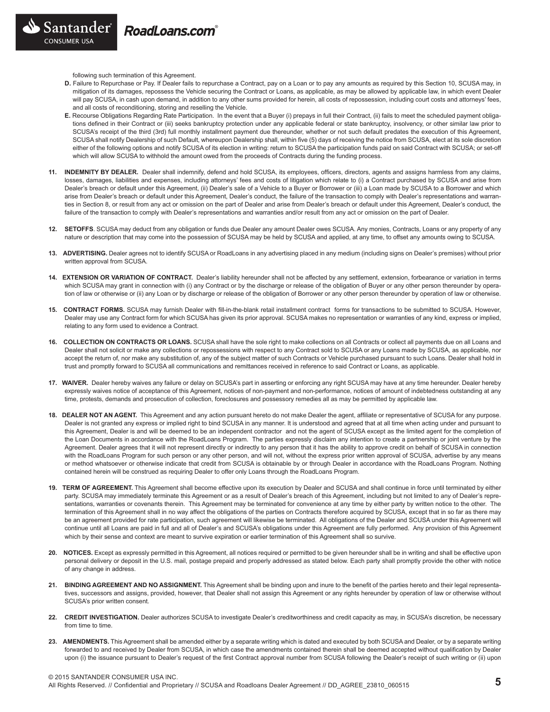following such termination of this Agreement.

- **D.** Failure to Repurchase or Pay. If Dealer fails to repurchase a Contract, pay on a Loan or to pay any amounts as required by this Section 10, SCUSA may, in mitigation of its damages, repossess the Vehicle securing the Contract or Loans, as applicable, as may be allowed by applicable law, in which event Dealer will pay SCUSA, in cash upon demand, in addition to any other sums provided for herein, all costs of repossession, including court costs and attorneys' fees, and all costs of reconditioning, storing and reselling the Vehicle.
- **E.** Recourse Obligations Regarding Rate Participation. In the event that a Buyer (i) prepays in full their Contract, (ii) fails to meet the scheduled payment obligations defined in their Contract or (iii) seeks bankruptcy protection under any applicable federal or state bankruptcy, insolvency, or other similar law prior to SCUSA's receipt of the third (3rd) full monthly installment payment due thereunder, whether or not such default predates the execution of this Agreement, SCUSA shall notify Dealership of such Default, whereupon Dealership shall, within five (5) days of receiving the notice from SCUSA, elect at its sole discretion either of the following options and notify SCUSA of its election in writing: return to SCUSA the participation funds paid on said Contract with SCUSA; or set-off which will allow SCUSA to withhold the amount owed from the proceeds of Contracts during the funding process.
- **11. INDEMNITY BY DEALER.** Dealer shall indemnify, defend and hold SCUSA, its employees, officers, directors, agents and assigns harmless from any claims, losses, damages, liabilities and expenses, including attorneys' fees and costs of litigation which relate to (i) a Contract purchased by SCUSA and arise from Dealer's breach or default under this Agreement, (ii) Dealer's sale of a Vehicle to a Buyer or Borrower or (iii) a Loan made by SCUSA to a Borrower and which arise from Dealer's breach or default under this Agreement, Dealer's conduct, the failure of the transaction to comply with Dealer's representations and warranties in Section 8, or result from any act or omission on the part of Dealer and arise from Dealer's breach or default under this Agreement, Dealer's conduct, the failure of the transaction to comply with Dealer's representations and warranties and/or result from any act or omission on the part of Dealer.
- **12. SETOFFS**. SCUSA may deduct from any obligation or funds due Dealer any amount Dealer owes SCUSA. Any monies, Contracts, Loans or any property of any nature or description that may come into the possession of SCUSA may be held by SCUSA and applied, at any time, to offset any amounts owing to SCUSA.
- **13. ADVERTISING.** Dealer agrees not to identify SCUSA or RoadLoans in any advertising placed in any medium (including signs on Dealer's premises) without prior written approval from SCUSA.
- **14. EXTENSION OR VARIATION OF CONTRACT.** Dealer's liability hereunder shall not be affected by any settlement, extension, forbearance or variation in terms which SCUSA may grant in connection with (i) any Contract or by the discharge or release of the obligation of Buyer or any other person thereunder by operation of law or otherwise or (ii) any Loan or by discharge or release of the obligation of Borrower or any other person thereunder by operation of law or otherwise.
- **15. CONTRACT FORMS.** SCUSA may furnish Dealer with fill-in-the-blank retail installment contract forms for transactions to be submitted to SCUSA. However, Dealer may use any Contract form for which SCUSA has given its prior approval. SCUSA makes no representation or warranties of any kind, express or implied, relating to any form used to evidence a Contract.
- 16. COLLECTION ON CONTRACTS OR LOANS. SCUSA shall have the sole right to make collections on all Contracts or collect all payments due on all Loans and Dealer shall not solicit or make any collections or repossessions with respect to any Contract sold to SCUSA or any Loans made by SCUSA, as applicable, nor accept the return of, nor make any substitution of, any of the subject matter of such Contracts or Vehicle purchased pursuant to such Loans. Dealer shall hold in trust and promptly forward to SCUSA all communications and remittances received in reference to said Contract or Loans, as applicable.
- **17. WAIVER.** Dealer hereby waives any failure or delay on SCUSA's part in asserting or enforcing any right SCUSA may have at any time hereunder. Dealer hereby expressly waives notice of acceptance of this Agreement, notices of non-payment and non-performance, notices of amount of indebtedness outstanding at any time, protests, demands and prosecution of collection, foreclosures and possessory remedies all as may be permitted by applicable law.
- **18. DEALER NOT AN AGENT.** This Agreement and any action pursuant hereto do not make Dealer the agent, affiliate or representative of SCUSA for any purpose. Dealer is not granted any express or implied right to bind SCUSA in any manner. It is understood and agreed that at all time when acting under and pursuant to this Agreement, Dealer is and will be deemed to be an independent contractor and not the agent of SCUSA except as the limited agent for the completion of the Loan Documents in accordance with the RoadLoans Program. The parties expressly disclaim any intention to create a partnership or joint venture by the Agreement. Dealer agrees that it will not represent directly or indirectly to any person that it has the ability to approve credit on behalf of SCUSA in connection with the RoadLoans Program for such person or any other person, and will not, without the express prior written approval of SCUSA, advertise by any means or method whatsoever or otherwise indicate that credit from SCUSA is obtainable by or through Dealer in accordance with the RoadLoans Program. Nothing contained herein will be construed as requiring Dealer to offer only Loans through the RoadLoans Program.
- 19. TERM OF AGREEMENT. This Agreement shall become effective upon its execution by Dealer and SCUSA and shall continue in force until terminated by either party. SCUSA may immediately terminate this Agreement or as a result of Dealer's breach of this Agreement, including but not limited to any of Dealer's representations, warranties or covenants therein. This Agreement may be terminated for convenience at any time by either party by written notice to the other. The termination of this Agreement shall in no way affect the obligations of the parties on Contracts therefore acquired by SCUSA, except that in so far as there may be an agreement provided for rate participation, such agreement will likewise be terminated. All obligations of the Dealer and SCUSA under this Agreement will continue until all Loans are paid in full and all of Dealer's and SCUSA's obligations under this Agreement are fully performed. Any provision of this Agreement which by their sense and context are meant to survive expiration or earlier termination of this Agreement shall so survive.
- **20. NOTICES.** Except as expressly permitted in this Agreement, all notices required or permitted to be given hereunder shall be in writing and shall be effective upon personal delivery or deposit in the U.S. mail, postage prepaid and properly addressed as stated below. Each party shall promptly provide the other with notice of any change in address.
- **21. BINDING AGREEMENT AND NO ASSIGNMENT.** This Agreement shall be binding upon and inure to the benefit of the parties hereto and their legal representatives, successors and assigns, provided, however, that Dealer shall not assign this Agreement or any rights hereunder by operation of law or otherwise without SCUSA's prior written consent.
- 22. CREDIT INVESTIGATION. Dealer authorizes SCUSA to investigate Dealer's creditworthiness and credit capacity as may, in SCUSA's discretion, be necessary from time to time.
- **23. AMENDMENTS.** This Agreement shall be amended either by a separate writing which is dated and executed by both SCUSA and Dealer, or by a separate writing forwarded to and received by Dealer from SCUSA, in which case the amendments contained therein shall be deemed accepted without qualification by Dealer upon (i) the issuance pursuant to Dealer's request of the first Contract approval number from SCUSA following the Dealer's receipt of such writing or (ii) upon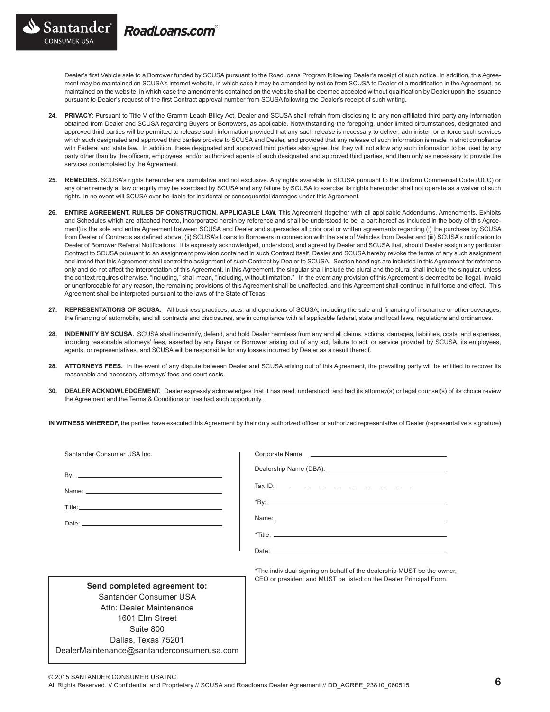RoadLoans.com

Santander

CONSUMER USA

Dealer's first Vehicle sale to a Borrower funded by SCUSA pursuant to the RoadLoans Program following Dealer's receipt of such notice. In addition, this Agreement may be maintained on SCUSA's Internet website, in which case it may be amended by notice from SCUSA to Dealer of a modification in the Agreement, as maintained on the website, in which case the amendments contained on the website shall be deemed accepted without qualification by Dealer upon the issuance pursuant to Dealer's request of the first Contract approval number from SCUSA following the Dealer's receipt of such writing.

- **24. PRIVACY:** Pursuant to Title V of the Gramm-Leach-Bliley Act, Dealer and SCUSA shall refrain from disclosing to any non-affiliated third party any information obtained from Dealer and SCUSA regarding Buyers or Borrowers, as applicable. Notwithstanding the foregoing, under limited circumstances, designated and approved third parties will be permitted to release such information provided that any such release is necessary to deliver, administer, or enforce such services which such designated and approved third parties provide to SCUSA and Dealer, and provided that any release of such information is made in strict compliance with Federal and state law. In addition, these designated and approved third parties also agree that they will not allow any such information to be used by any party other than by the officers, employees, and/or authorized agents of such designated and approved third parties, and then only as necessary to provide the services contemplated by the Agreement.
- **25. REMEDIES.** SCUSA's rights hereunder are cumulative and not exclusive. Any rights available to SCUSA pursuant to the Uniform Commercial Code (UCC) or any other remedy at law or equity may be exercised by SCUSA and any failure by SCUSA to exercise its rights hereunder shall not operate as a waiver of such rights. In no event will SCUSA ever be liable for incidental or consequential damages under this Agreement.
- **26. ENTIRE AGREEMENT, RULES OF CONSTRUCTION, APPLICABLE LAW.** This Agreement (together with all applicable Addendums, Amendments, Exhibits and Schedules which are attached hereto, incorporated herein by reference and shall be understood to be a part hereof as included in the body of this Agreement) is the sole and entire Agreement between SCUSA and Dealer and supersedes all prior oral or written agreements regarding (i) the purchase by SCUSA from Dealer of Contracts as defined above, (ii) SCUSA's Loans to Borrowers in connection with the sale of Vehicles from Dealer and (iii) SCUSA's notification to Dealer of Borrower Referral Notifications. It is expressly acknowledged, understood, and agreed by Dealer and SCUSA that, should Dealer assign any particular Contract to SCUSA pursuant to an assignment provision contained in such Contract itself, Dealer and SCUSA hereby revoke the terms of any such assignment and intend that this Agreement shall control the assignment of such Contract by Dealer to SCUSA. Section headings are included in this Agreement for reference only and do not affect the interpretation of this Agreement. In this Agreement, the singular shall include the plural and the plural shall include the singular, unless the context requires otherwise. "Including," shall mean, "including, without limitation." In the event any provision of this Agreement is deemed to be illegal, invalid or unenforceable for any reason, the remaining provisions of this Agreement shall be unaffected, and this Agreement shall continue in full force and effect. This Agreement shall be interpreted pursuant to the laws of the State of Texas.
- **27. REPRESENTATIONS OF SCUSA.** All business practices, acts, and operations of SCUSA, including the sale and financing of insurance or other coverages, the financing of automobile, and all contracts and disclosures, are in compliance with all applicable federal, state and local laws, regulations and ordinances.
- **28. INDEMNITY BY SCUSA.** SCUSA shall indemnify, defend, and hold Dealer harmless from any and all claims, actions, damages, liabilities, costs, and expenses, including reasonable attorneys' fees, asserted by any Buyer or Borrower arising out of any act, failure to act, or service provided by SCUSA, its employees, agents, or representatives, and SCUSA will be responsible for any losses incurred by Dealer as a result thereof.
- **28. ATTORNEYS FEES.** In the event of any dispute between Dealer and SCUSA arising out of this Agreement, the prevailing party will be entitled to recover its reasonable and necessary attorneys' fees and court costs.
- **30. DEALER ACKNOWLEDGEMENT.** Dealer expressly acknowledges that it has read, understood, and had its attorney(s) or legal counsel(s) of its choice review the Agreement and the Terms & Conditions or has had such opportunity.

**IN WITNESS WHEREOF,** the parties have executed this Agreement by their duly authorized officer or authorized representative of Dealer (representative's signature)

| Santander Consumer USA Inc.  |                                                                                                                                                                                                                                |
|------------------------------|--------------------------------------------------------------------------------------------------------------------------------------------------------------------------------------------------------------------------------|
|                              |                                                                                                                                                                                                                                |
|                              |                                                                                                                                                                                                                                |
|                              |                                                                                                                                                                                                                                |
|                              |                                                                                                                                                                                                                                |
|                              |                                                                                                                                                                                                                                |
|                              | Date: the contract of the contract of the contract of the contract of the contract of the contract of the contract of the contract of the contract of the contract of the contract of the contract of the contract of the cont |
|                              | *The individual signing on behalf of the dealership MUST be the owner,                                                                                                                                                         |
| Send completed agreement to: | CEO or president and MUST be listed on the Dealer Principal Form.                                                                                                                                                              |
| Santander Consumer USA       |                                                                                                                                                                                                                                |
| Attn: Dealer Maintenance     |                                                                                                                                                                                                                                |
| 1601 Flm Street              |                                                                                                                                                                                                                                |

© 2015 SANTANDER CONSUMER USA INC.

Suite 800 Dallas, Texas 75201 DealerMaintenance@santanderconsumerusa.com

All Rights Reserved. // Confidential and Proprietary // SCUSA and Roadloans Dealer Agreement // DD\_AGREE\_23810\_060515 **6**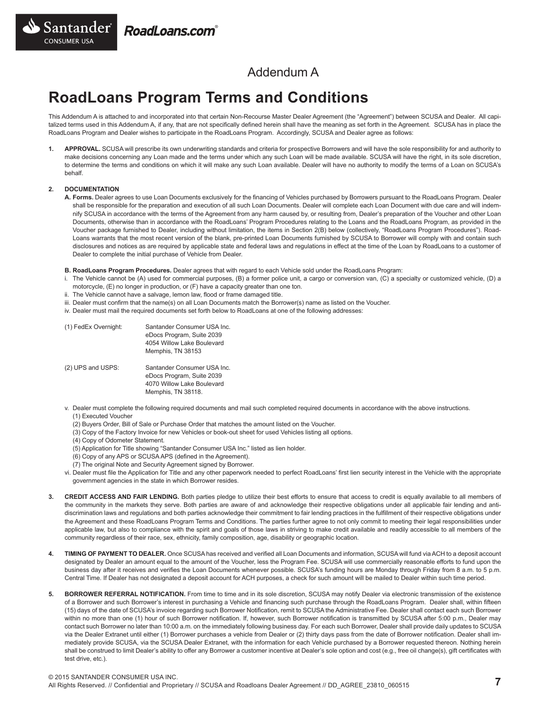

## Addendum A

# **RoadLoans Program Terms and Conditions**

This Addendum A is attached to and incorporated into that certain Non-Recourse Master Dealer Agreement (the "Agreement") between SCUSA and Dealer. All capitalized terms used in this Addendum A, if any, that are not specifically defined herein shall have the meaning as set forth in the Agreement. SCUSA has in place the RoadLoans Program and Dealer wishes to participate in the RoadLoans Program. Accordingly, SCUSA and Dealer agree as follows:

**1. APPROVAL.** SCUSA will prescribe its own underwriting standards and criteria for prospective Borrowers and will have the sole responsibility for and authority to make decisions concerning any Loan made and the terms under which any such Loan will be made available. SCUSA will have the right, in its sole discretion, to determine the terms and conditions on which it will make any such Loan available. Dealer will have no authority to modify the terms of a Loan on SCUSA's behalf.

### **2. DOCUMENTATION**

**A. Forms.** Dealer agrees to use Loan Documents exclusively for the financing of Vehicles purchased by Borrowers pursuant to the RoadLoans Program. Dealer shall be responsible for the preparation and execution of all such Loan Documents. Dealer will complete each Loan Document with due care and will indemnify SCUSA in accordance with the terms of the Agreement from any harm caused by, or resulting from, Dealer's preparation of the Voucher and other Loan Documents, otherwise than in accordance with the RoadLoans' Program Procedures relating to the Loans and the RoadLoans Program, as provided in the Voucher package furnished to Dealer, including without limitation, the items in Section 2(B) below (collectively, "RoadLoans Program Procedures"). Road-Loans warrants that the most recent version of the blank, pre-printed Loan Documents furnished by SCUSA to Borrower will comply with and contain such disclosures and notices as are required by applicable state and federal laws and regulations in effect at the time of the Loan by RoadLoans to a customer of Dealer to complete the initial purchase of Vehicle from Dealer.

**B. RoadLoans Program Procedures.** Dealer agrees that with regard to each Vehicle sold under the RoadLoans Program:

- i. The Vehicle cannot be (A) used for commercial purposes, (B) a former police unit, a cargo or conversion van, (C) a specialty or customized vehicle, (D) a motorcycle, (E) no longer in production, or (F) have a capacity greater than one ton.
- ii. The Vehicle cannot have a salvage, lemon law, flood or frame damaged title.
- iii. Dealer must confirm that the name(s) on all Loan Documents match the Borrower(s) name as listed on the Voucher.
- iv. Dealer must mail the required documents set forth below to RoadLoans at one of the following addresses:

| (1) FedEx Overnight: | Santander Consumer USA Inc.<br>eDocs Program, Suite 2039<br>4054 Willow Lake Boulevard<br>Memphis, TN 38153  |
|----------------------|--------------------------------------------------------------------------------------------------------------|
| (2) UPS and USPS:    | Santander Consumer USA Inc.<br>eDocs Program, Suite 2039<br>4070 Willow Lake Boulevard<br>Memphis, TN 38118. |

- v. Dealer must complete the following required documents and mail such completed required documents in accordance with the above instructions. (1) Executed Voucher
	- (2) Buyers Order, Bill of Sale or Purchase Order that matches the amount listed on the Voucher.
	- (3) Copy of the Factory Invoice for new Vehicles or book-out sheet for used Vehicles listing all options.
	- (4) Copy of Odometer Statement.
	- (5) Application for Title showing "Santander Consumer USA Inc." listed as lien holder.
	- (6) Copy of any APS or SCUSA APS (defined in the Agreement).
	- (7) The original Note and Security Agreement signed by Borrower.
- vi. Dealer must file the Application for Title and any other paperwork needed to perfect RoadLoans' first lien security interest in the Vehicle with the appropriate government agencies in the state in which Borrower resides.
- **3. CREDIT ACCESS AND FAIR LENDING.** Both parties pledge to utilize their best efforts to ensure that access to credit is equally available to all members of the community in the markets they serve. Both parties are aware of and acknowledge their respective obligations under all applicable fair lending and antidiscrimination laws and regulations and both parties acknowledge their commitment to fair lending practices in the fulfillment of their respective obligations under the Agreement and these RoadLoans Program Terms and Conditions. The parties further agree to not only commit to meeting their legal responsibilities under applicable law, but also to compliance with the spirit and goals of those laws in striving to make credit available and readily accessible to all members of the community regardless of their race, sex, ethnicity, family composition, age, disability or geographic location.
- **4. TIMING OF PAYMENT TO DEALER.** Once SCUSA has received and verified all Loan Documents and information, SCUSA will fund via ACH to a deposit account designated by Dealer an amount equal to the amount of the Voucher, less the Program Fee. SCUSA will use commercially reasonable efforts to fund upon the business day after it receives and verifies the Loan Documents whenever possible. SCUSA's funding hours are Monday through Friday from 8 a.m. to 5 p.m. Central Time. If Dealer has not designated a deposit account for ACH purposes, a check for such amount will be mailed to Dealer within such time period.
- **5. BORROWER REFERRAL NOTIFICATION.** From time to time and in its sole discretion, SCUSA may notify Dealer via electronic transmission of the existence of a Borrower and such Borrower's interest in purchasing a Vehicle and financing such purchase through the RoadLoans Program. Dealer shall, within fifteen (15) days of the date of SCUSA's invoice regarding such Borrower Notification, remit to SCUSA the Administrative Fee. Dealer shall contact each such Borrower within no more than one (1) hour of such Borrower notification. If, however, such Borrower notification is transmitted by SCUSA after 5:00 p.m., Dealer may contact such Borrower no later than 10:00 a.m. on the immediately following business day. For each such Borrower, Dealer shall provide daily updates to SCUSA via the Dealer Extranet until either (1) Borrower purchases a vehicle from Dealer or (2) thirty days pass from the date of Borrower notification. Dealer shall immediately provide SCUSA, via the SCUSA Dealer Extranet, with the information for each Vehicle purchased by a Borrower requested thereon. Nothing herein shall be construed to limit Dealer's ability to offer any Borrower a customer incentive at Dealer's sole option and cost (e.g., free oil change(s), gift certificates with test drive, etc.).

© 2015 SANTANDER CONSUMER USA INC.

All Rights Reserved. // Confidential and Proprietary // SCUSA and Roadloans Dealer Agreement // DD\_AGREE\_23810\_060515 **7**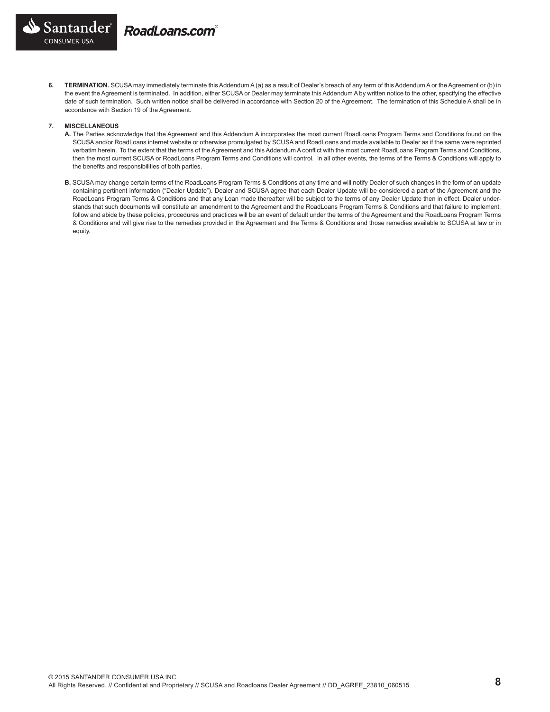

**6. TERMINATION.** SCUSA may immediately terminate this Addendum A (a) as a result of Dealer's breach of any term of this Addendum A or the Agreement or (b) in the event the Agreement is terminated. In addition, either SCUSA or Dealer may terminate this Addendum A by written notice to the other, specifying the effective date of such termination. Such written notice shall be delivered in accordance with Section 20 of the Agreement. The termination of this Schedule A shall be in accordance with Section 19 of the Agreement.

#### **7. MISCELLANEOUS**

- **A.** The Parties acknowledge that the Agreement and this Addendum A incorporates the most current RoadLoans Program Terms and Conditions found on the SCUSA and/or RoadLoans internet website or otherwise promulgated by SCUSA and RoadLoans and made available to Dealer as if the same were reprinted verbatim herein. To the extent that the terms of the Agreement and this Addendum A conflict with the most current RoadLoans Program Terms and Conditions, then the most current SCUSA or RoadLoans Program Terms and Conditions will control. In all other events, the terms of the Terms & Conditions will apply to the benefits and responsibilities of both parties.
- **B.** SCUSA may change certain terms of the RoadLoans Program Terms & Conditions at any time and will notify Dealer of such changes in the form of an update containing pertinent information ("Dealer Update"). Dealer and SCUSA agree that each Dealer Update will be considered a part of the Agreement and the RoadLoans Program Terms & Conditions and that any Loan made thereafter will be subject to the terms of any Dealer Update then in effect. Dealer understands that such documents will constitute an amendment to the Agreement and the RoadLoans Program Terms & Conditions and that failure to implement, follow and abide by these policies, procedures and practices will be an event of default under the terms of the Agreement and the RoadLoans Program Terms & Conditions and will give rise to the remedies provided in the Agreement and the Terms & Conditions and those remedies available to SCUSA at law or in equity.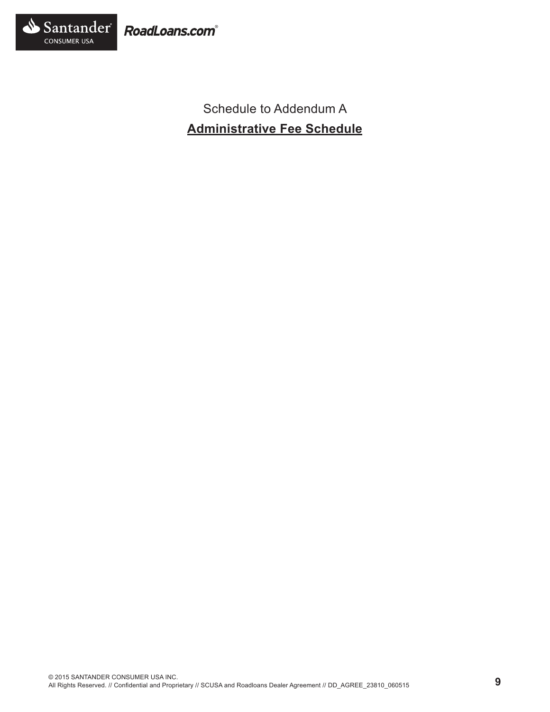

Schedule to Addendum A **Administrative Fee Schedule**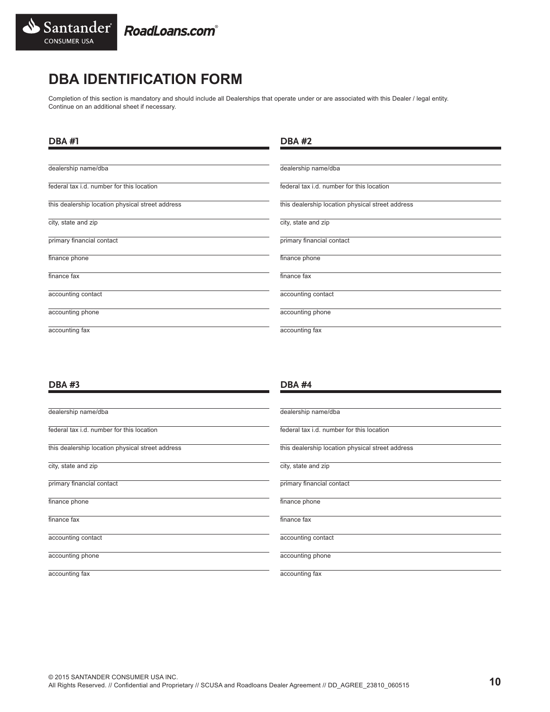

# **DBA IDENTIFICATION FORM**

Completion of this section is mandatory and should include all Dealerships that operate under or are associated with this Dealer / legal entity. Continue on an additional sheet if necessary.

| <b>DBA#1</b>                                     | <b>DBA#2</b>                                     |
|--------------------------------------------------|--------------------------------------------------|
| dealership name/dba                              | dealership name/dba                              |
| federal tax i.d. number for this location        | federal tax i.d. number for this location        |
| this dealership location physical street address | this dealership location physical street address |
| city, state and zip                              | city, state and zip                              |
| primary financial contact                        | primary financial contact                        |
| finance phone                                    | finance phone                                    |
| finance fax                                      | finance fax                                      |
| accounting contact                               | accounting contact                               |
| accounting phone                                 | accounting phone                                 |
| accounting fax                                   | accounting fax                                   |

## **DBA #3**

| dealership name/dba                              | dealership name/dba                              |
|--------------------------------------------------|--------------------------------------------------|
| federal tax i.d. number for this location        | federal tax i.d. number for this location        |
| this dealership location physical street address | this dealership location physical street address |
| city, state and zip                              | city, state and zip                              |
| primary financial contact                        | primary financial contact                        |
| finance phone                                    | finance phone                                    |
| finance fax                                      | finance fax                                      |
| accounting contact                               | accounting contact                               |
| accounting phone                                 | accounting phone                                 |
| accounting fax                                   | accounting fax                                   |

**DBA #4**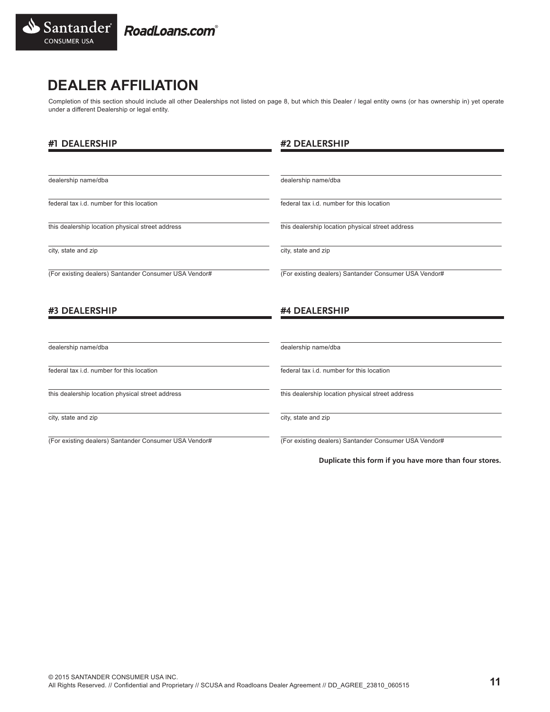

## **DEALER AFFILIATION**

Completion of this section should include all other Dealerships not listed on page 8, but which this Dealer / legal entity owns (or has ownership in) yet operate under a different Dealership or legal entity.

| #1 DEALERSHIP                                         | #2 DEALERSHIP                                          |
|-------------------------------------------------------|--------------------------------------------------------|
|                                                       |                                                        |
| dealership name/dba                                   | dealership name/dba                                    |
| federal tax i.d. number for this location             | federal tax i.d. number for this location              |
| this dealership location physical street address      | this dealership location physical street address       |
| city, state and zip                                   | city, state and zip                                    |
| (For existing dealers) Santander Consumer USA Vendor# | (For existing dealers) Santander Consumer USA Vendor#  |
| #3 DEALERSHIP                                         | #4 DEALERSHIP                                          |
|                                                       |                                                        |
| dealership name/dba                                   | dealership name/dba                                    |
| federal tax i.d. number for this location             | federal tax i.d. number for this location              |
| this dealership location physical street address      | this dealership location physical street address       |
| city, state and zip                                   | city, state and zip                                    |
| (For existing dealers) Santander Consumer USA Vendor# | (For existing dealers) Santander Consumer USA Vendor#  |
|                                                       | Duplicate this form if you have more than four stores. |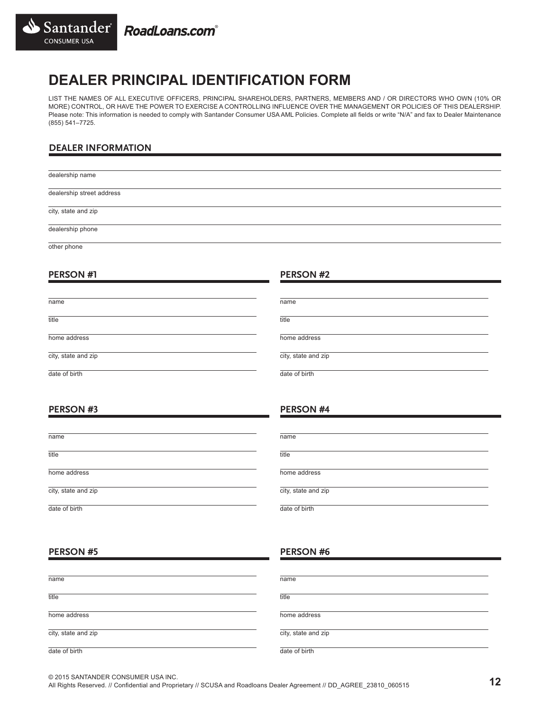

# **DEALER PRINCIPAL IDENTIFICATION FORM**

LIST THE NAMES OF ALL EXECUTIVE OFFICERS, PRINCIPAL SHAREHOLDERS, PARTNERS, MEMBERS AND / OR DIRECTORS WHO OWN (10% OR MORE) CONTROL, OR HAVE THE POWER TO EXERCISE A CONTROLLING INFLUENCE OVER THE MANAGEMENT OR POLICIES OF THIS DEALERSHIP. Please note: This information is needed to comply with Santander Consumer USA AML Policies. Complete all fields or write "N/A" and fax to Dealer Maintenance (855) 541–7725.

## **DEALER INFORMATION**

dealership name dealership street address city, state and zip dealership phone

**PERSON #2**

**PERSON #4**

other phone

## **PERSON #1**

| name                | name                |
|---------------------|---------------------|
| title               | title               |
| home address        | home address        |
| city, state and zip | city, state and zip |
| date of hirth       | date of birth       |

## **PERSON #3**

| name                | name                |
|---------------------|---------------------|
| title               | title               |
| home address        | home address        |
| city, state and zip | city, state and zip |
| date of birth       | date of birth       |

## **PERSON #5**

## **PERSON #6**

| name                | name                |
|---------------------|---------------------|
| title               | title               |
| home address        | home address        |
| city, state and zip | city, state and zip |
| date of birth       | date of birth       |

© 2015 SANTANDER CONSUMER USA INC.

All Rights Reserved. // Confidential and Proprietary // SCUSA and Roadloans Dealer Agreement // DD\_AGREE\_23810\_060515 **12**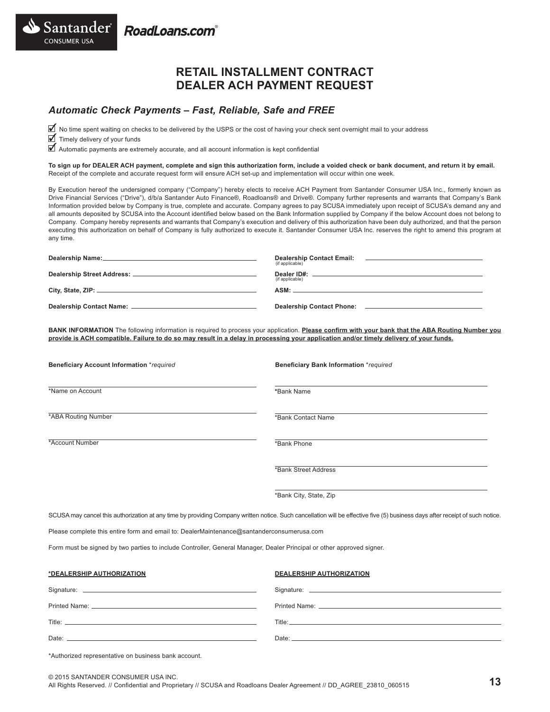Santander RoadLoans.com

## **RETAIL INSTALLMENT CONTRACT DEALER ACH PAYMENT REQUEST**

## *Automatic Check Payments – Fast, Reliable, Safe and FREE*

■ No time spent waiting on checks to be delivered by the USPS or the cost of having your check sent overnight mail to your address

■ Timely delivery of your funds

**CONSUMER USA** 

■ Automatic payments are extremely accurate, and all account information is kept confidential

**To sign up for DEALER ACH payment, complete and sign this authorization form, include a voided check or bank document, and return it by email.**  Receipt of the complete and accurate request form will ensure ACH set-up and implementation will occur within one week.

By Execution hereof the undersigned company ("Company") hereby elects to receive ACH Payment from Santander Consumer USA Inc., formerly known as Drive Financial Services ("Drive"), d/b/a Santander Auto Finance®, Roadloans® and Drive®. Company further represents and warrants that Company's Bank Information provided below by Company is true, complete and accurate. Company agrees to pay SCUSA immediately upon receipt of SCUSA's demand any and all amounts deposited by SCUSA into the Account identified below based on the Bank Information supplied by Company if the below Account does not belong to Company. Company hereby represents and warrants that Company's execution and delivery of this authorization have been duly authorized, and that the person executing this authorization on behalf of Company is fully authorized to execute it. Santander Consumer USA Inc. reserves the right to amend this program at any time.

| (if applicable) |
|-----------------|
| (if applicable) |
| $ASM:$ $\Box$   |
|                 |

**BANK INFORMATION** The following information is required to process your application. **Please confirm with your bank that the ABA Routing Number you provide is ACH compatible. Failure to do so may result in a delay in processing your application and/or timely delivery of your funds.**

| <b>Beneficiary Account Information *required</b> | <b>Beneficiary Bank Information *required</b> |
|--------------------------------------------------|-----------------------------------------------|
| *Name on Account                                 | *Bank Name                                    |
| <b>*ABA Routing Number</b>                       | *Bank Contact Name                            |
| *Account Number                                  | *Bank Phone                                   |
|                                                  | *Bank Street Address                          |
|                                                  | *Bank City, State, Zip                        |

SCUSA may cancel this authorization at any time by providing Company written notice. Such cancellation will be effective five (5) business days after receipt of such notice.

Please complete this entire form and email to: DealerMaintenance@santanderconsumerusa.com

Form must be signed by two parties to include Controller, General Manager, Dealer Principal or other approved signer.

| *DEALERSHIP AUTHORIZATION                                                                                                                                                                                                      | <b>DEALERSHIP AUTHORIZATION</b> |
|--------------------------------------------------------------------------------------------------------------------------------------------------------------------------------------------------------------------------------|---------------------------------|
|                                                                                                                                                                                                                                |                                 |
|                                                                                                                                                                                                                                |                                 |
|                                                                                                                                                                                                                                |                                 |
| Date: experience and the contract of the contract of the contract of the contract of the contract of the contract of the contract of the contract of the contract of the contract of the contract of the contract of the contr |                                 |

\*Authorized representative on business bank account.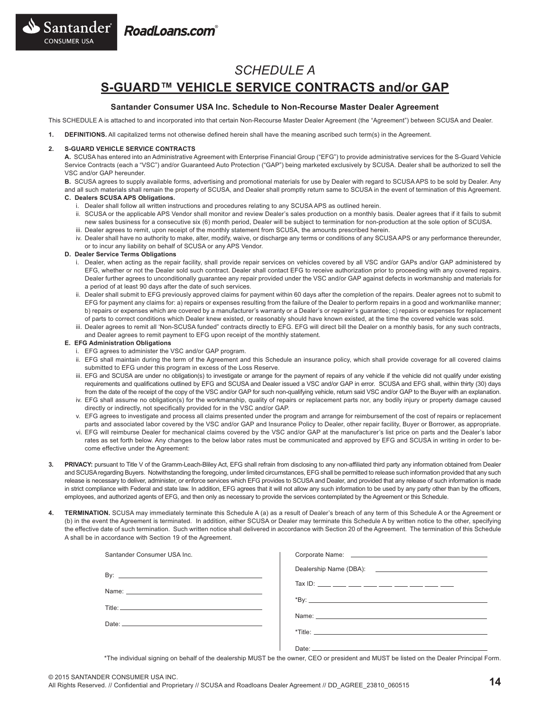



## *SCHEDULE A* **S-GUARD™ VEHICLE SERVICE CONTRACTS and/or GAP**

### **Santander Consumer USA Inc. Schedule to Non-Recourse Master Dealer Agreement**

This SCHEDULE A is attached to and incorporated into that certain Non-Recourse Master Dealer Agreement (the "Agreement") between SCUSA and Dealer.

**1. DEFINITIONS.** All capitalized terms not otherwise defined herein shall have the meaning ascribed such term(s) in the Agreement.

### **2. S-GUARD VEHICLE SERVICE CONTRACTS**

**A.** SCUSA has entered into an Administrative Agreement with Enterprise Financial Group ("EFG") to provide administrative services for the S-Guard Vehicle Service Contracts (each a "VSC") and/or Guaranteed Auto Protection ("GAP") being marketed exclusively by SCUSA. Dealer shall be authorized to sell the VSC and/or GAP hereunder.

**B.** SCUSA agrees to supply available forms, advertising and promotional materials for use by Dealer with regard to SCUSA APS to be sold by Dealer. Any and all such materials shall remain the property of SCUSA, and Dealer shall promptly return same to SCUSA in the event of termination of this Agreement. **C. Dealers SCUSA APS Obligations.**

- i. Dealer shall follow all written instructions and procedures relating to any SCUSA APS as outlined herein.
- ii. SCUSA or the applicable APS Vendor shall monitor and review Dealer's sales production on a monthly basis. Dealer agrees that if it fails to submit new sales business for a consecutive six (6) month period, Dealer will be subject to termination for non-production at the sole option of SCUSA.
- iii. Dealer agrees to remit, upon receipt of the monthly statement from SCUSA, the amounts prescribed herein.
- iv. Dealer shall have no authority to make, alter, modify, waive, or discharge any terms or conditions of any SCUSA APS or any performance thereunder, or to incur any liability on behalf of SCUSA or any APS Vendor.

#### **D. Dealer Service Terms Obligations**

- i. Dealer, when acting as the repair facility, shall provide repair services on vehicles covered by all VSC and/or GAPs and/or GAP administered by EFG, whether or not the Dealer sold such contract. Dealer shall contact EFG to receive authorization prior to proceeding with any covered repairs. Dealer further agrees to unconditionally guarantee any repair provided under the VSC and/or GAP against defects in workmanship and materials for a period of at least 90 days after the date of such services.
- ii. Dealer shall submit to EFG previously approved claims for payment within 60 days after the completion of the repairs. Dealer agrees not to submit to EFG for payment any claims for: a) repairs or expenses resulting from the failure of the Dealer to perform repairs in a good and workmanlike manner; b) repairs or expenses which are covered by a manufacturer's warranty or a Dealer's or repairer's guarantee; c) repairs or expenses for replacement of parts to correct conditions which Dealer knew existed, or reasonably should have known existed, at the time the covered vehicle was sold.
- iii. Dealer agrees to remit all 'Non-SCUSA funded" contracts directly to EFG. EFG will direct bill the Dealer on a monthly basis, for any such contracts, and Dealer agrees to remit payment to EFG upon receipt of the monthly statement.

### **E. EFG Administration Obligations**

- i. EFG agrees to administer the VSC and/or GAP program.
- ii. EFG shall maintain during the term of the Agreement and this Schedule an insurance policy, which shall provide coverage for all covered claims submitted to EFG under this program in excess of the Loss Reserve.
- iii. EFG and SCUSA are under no obligation(s) to investigate or arrange for the payment of repairs of any vehicle if the vehicle did not qualify under existing requirements and qualifications outlined by EFG and SCUSA and Dealer issued a VSC and/or GAP in error. SCUSA and EFG shall, within thirty (30) days from the date of the receipt of the copy of the VSC and/or GAP for such non-qualifying vehicle, return said VSC and/or GAP to the Buyer with an explanation.
- iv. EFG shall assume no obligation(s) for the workmanship, quality of repairs or replacement parts nor, any bodily injury or property damage caused directly or indirectly, not specifically provided for in the VSC and/or GAP.
- v. EFG agrees to investigate and process all claims presented under the program and arrange for reimbursement of the cost of repairs or replacement parts and associated labor covered by the VSC and/or GAP and Insurance Policy to Dealer, other repair facility, Buyer or Borrower, as appropriate.
- vi. EFG will reimburse Dealer for mechanical claims covered by the VSC and/or GAP at the manufacturer's list price on parts and the Dealer's labor rates as set forth below. Any changes to the below labor rates must be communicated and approved by EFG and SCUSA in writing in order to become effective under the Agreement:
- **3. PRIVACY:** pursuant to Title V of the Gramm-Leach-Bliley Act, EFG shall refrain from disclosing to any non-affiliated third party any information obtained from Dealer and SCUSA regarding Buyers. Notwithstanding the foregoing, under limited circumstances, EFG shall be permitted to release such information provided that any such release is necessary to deliver, administer, or enforce services which EFG provides to SCUSA and Dealer, and provided that any release of such information is made in strict compliance with Federal and state law. In addition, EFG agrees that it will not allow any such information to be used by any party other than by the officers, employees, and authorized agents of EFG, and then only as necessary to provide the services contemplated by the Agreement or this Schedule.
- **4. TERMINATION.** SCUSA may immediately terminate this Schedule A (a) as a result of Dealer's breach of any term of this Schedule A or the Agreement or (b) in the event the Agreement is terminated. In addition, either SCUSA or Dealer may terminate this Schedule A by written notice to the other, specifying the effective date of such termination. Such written notice shall delivered in accordance with Section 20 of the Agreement. The termination of this Schedule A shall be in accordance with Section 19 of the Agreement.

| Santander Consumer USA Inc.                                                                                                                                                                                                    |                                             |
|--------------------------------------------------------------------------------------------------------------------------------------------------------------------------------------------------------------------------------|---------------------------------------------|
|                                                                                                                                                                                                                                |                                             |
|                                                                                                                                                                                                                                | Tax ID: ___ ___ ___ ___ ___ ___ ___ ___ ___ |
|                                                                                                                                                                                                                                |                                             |
|                                                                                                                                                                                                                                |                                             |
| Date: the contract of the contract of the contract of the contract of the contract of the contract of the contract of the contract of the contract of the contract of the contract of the contract of the contract of the cont |                                             |
|                                                                                                                                                                                                                                |                                             |
|                                                                                                                                                                                                                                |                                             |

\*The individual signing on behalf of the dealership MUST be the owner, CEO or president and MUST be listed on the Dealer Principal Form.